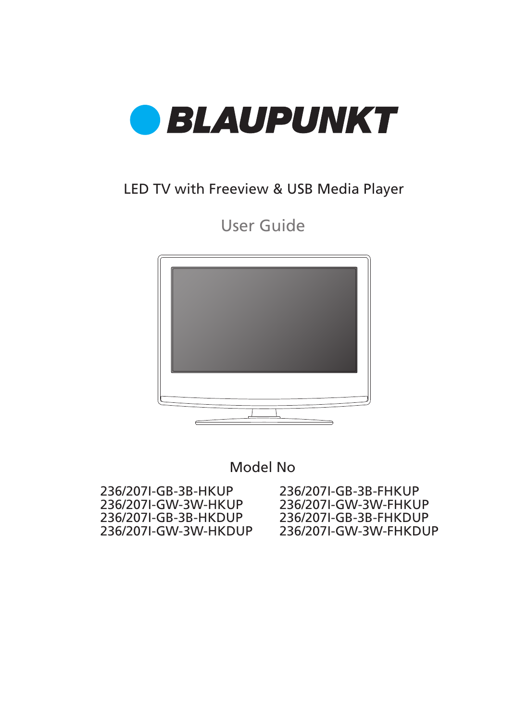

### LED TV with Freeview & USB Media Player

User Guide



Model No

236/207I-GB-3B-FHKUP 236/207I-GW-3W-FHKUP 236/207I-GB-3B-FHKDUP 236/207I-GW-3W-FHKDUP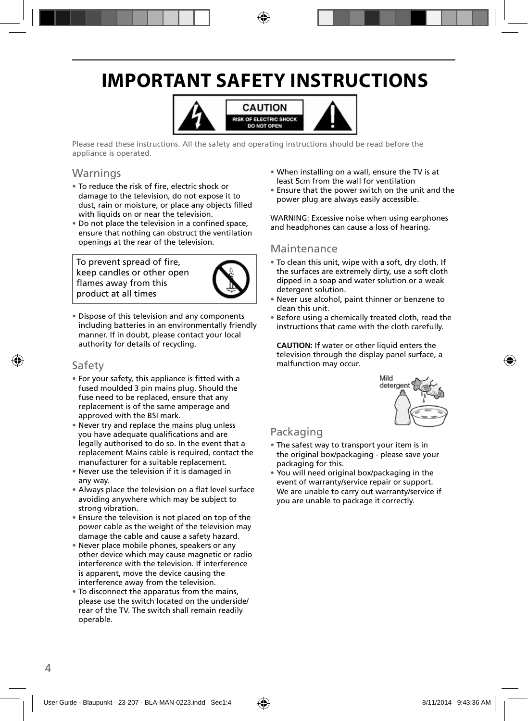## **IMPORTANT SAFETY INSTRUCTIONS**



Please read these instructions. All the safety and operating instructions should be read before the appliance is operated.

### Warnings

- To reduce the risk of fire, electric shock or damage to the television, do not expose it to dust, rain or moisture, or place any objects filled with liquids on or near the television.
- Do not place the television in a confined space, ensure that nothing can obstruct the ventilation openings at the rear of the television.

To prevent spread of fire, keep candles or other open flames away from this product at all times



• Dispose of this television and any components including batteries in an environmentally friendly manner. If in doubt, please contact your local authority for details of recycling.

### Safety

- For your safety, this appliance is fitted with a fused moulded 3 pin mains plug. Should the fuse need to be replaced, ensure that any replacement is of the same amperage and approved with the BSI mark.
- Never try and replace the mains plug unless you have adequate qualifications and are legally authorised to do so. In the event that a replacement Mains cable is required, contact the manufacturer for a suitable replacement.
- Never use the television if it is damaged in any way.
- Always place the television on a flat level surface avoiding anywhere which may be subject to strong vibration.
- Ensure the television is not placed on top of the power cable as the weight of the television may damage the cable and cause a safety hazard.
- Never place mobile phones, speakers or any other device which may cause magnetic or radio interference with the television. If interference is apparent, move the device causing the interference away from the television.
- To disconnect the apparatus from the mains, please use the switch located on the underside/ rear of the TV. The switch shall remain readily operable.
- When installing on a wall, ensure the TV is at least 5cm from the wall for ventilation
- Ensure that the power switch on the unit and the power plug are always easily accessible.

WARNING: Excessive noise when using earphones and headphones can cause a loss of hearing.

### Maintenance

- To clean this unit, wipe with a soft, dry cloth. If the surfaces are extremely dirty, use a soft cloth dipped in a soap and water solution or a weak detergent solution.
- Never use alcohol, paint thinner or benzene to clean this unit.
- Before using a chemically treated cloth, read the instructions that came with the cloth carefully.

**CAUTION:** If water or other liquid enters the television through the display panel surface, a malfunction may occur.



### Packaging

- The safest way to transport your item is in the original box/packaging - please save your packaging for this.
- You will need original box/packaging in the event of warranty/service repair or support. We are unable to carry out warranty/service if you are unable to package it correctly.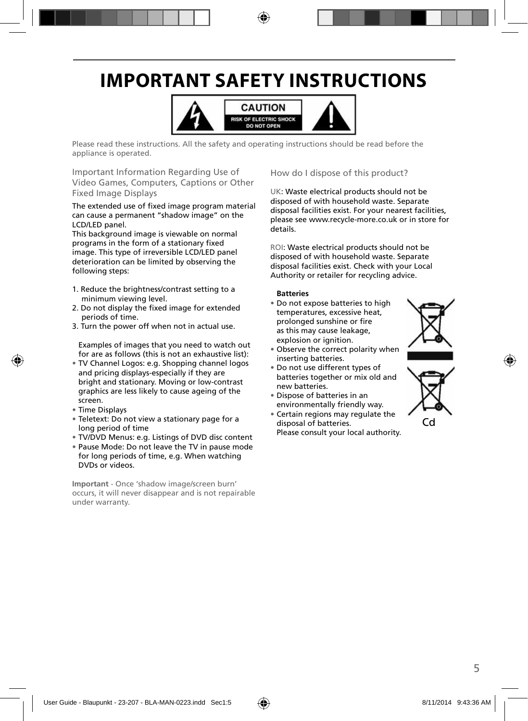## **IMPORTANT SAFETY INSTRUCTIONS**



Please read these instructions. All the safety and operating instructions should be read before the appliance is operated.

Important Information Regarding Use of Video Games, Computers, Captions or Other Fixed Image Displays

The extended use of fixed image program material can cause a permanent "shadow image" on the LCD/LED panel.

This background image is viewable on normal programs in the form of a stationary fixed image. This type of irreversible LCD/LED panel deterioration can be limited by observing the following steps:

- 1. Reduce the brightness/contrast setting to a minimum viewing level.
- 2. Do not display the fixed image for extended periods of time.
- 3. Turn the power off when not in actual use.

Examples of images that you need to watch out for are as follows (this is not an exhaustive list):

- TV Channel Logos: e.g. Shopping channel logos and pricing displays-especially if they are bright and stationary. Moving or low-contrast graphics are less likely to cause ageing of the screen.
- Time Displays
- Teletext: Do not view a stationary page for a long period of time
- TV/DVD Menus: e.g. Listings of DVD disc content
- Pause Mode: Do not leave the TV in pause mode for long periods of time, e.g. When watching DVDs or videos.

**Important** - Once 'shadow image/screen burn' occurs, it will never disappear and is not repairable under warranty.

How do I dispose of this product?

UK: Waste electrical products should not be disposed of with household waste. Separate disposal facilities exist. For your nearest facilities, please see www.recycle-more.co.uk or in store for details.

ROI: Waste electrical products should not be disposed of with household waste. Separate disposal facilities exist. Check with your Local Authority or retailer for recycling advice.

#### **Batteries**

- Do not expose batteries to high temperatures, excessive heat, prolonged sunshine or fire as this may cause leakage, explosion or ignition.
- Observe the correct polarity when inserting batteries.
- Do not use different types of batteries together or mix old and new batteries.
- Dispose of batteries in an environmentally friendly way.
- Certain regions may regulate the disposal of batteries. Please consult your local authority.



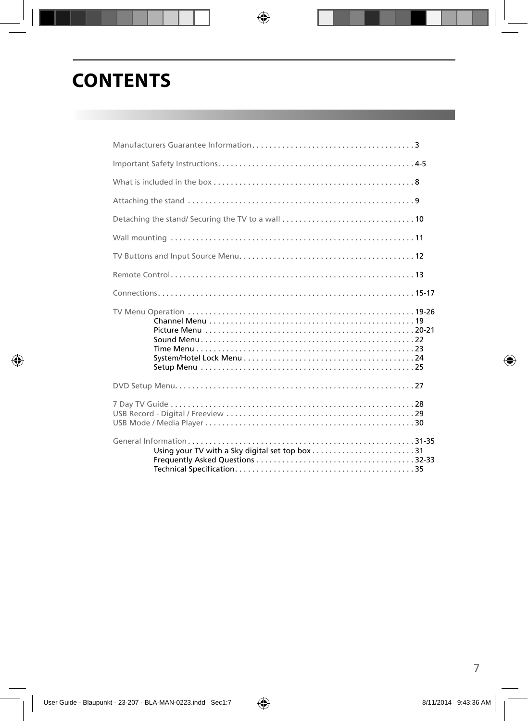## **CONTENTS**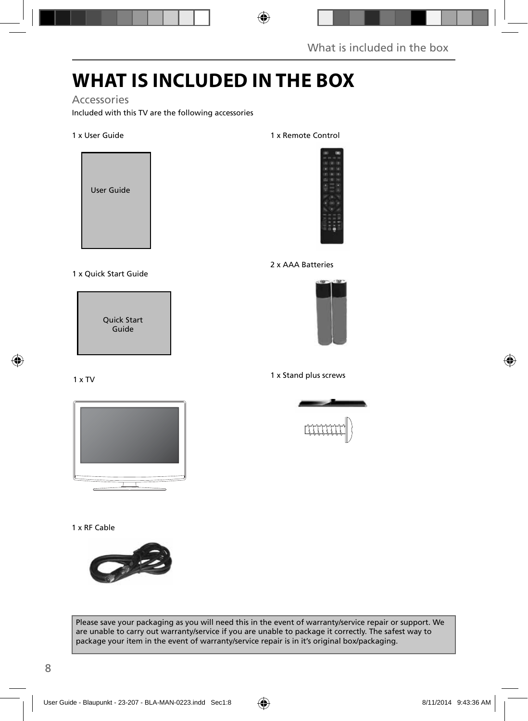## **WHAT IS INCLUDED IN THE BOX**

### Accessories

Included with this TV are the following accessories

### 1 x User Guide



### 1 x Quick Start Guide

Quick Start Guide

### 1 x TV



#### 1 x RF Cable



#### Please save your packaging as you will need this in the event of warranty/service repair or support. We are unable to carry out warranty/service if you are unable to package it correctly. The safest way to package your item in the event of warranty/service repair is in it's original box/packaging.

#### 1 x Remote Control



#### 2 x AAA Batteries



#### 1 x Stand plus screws

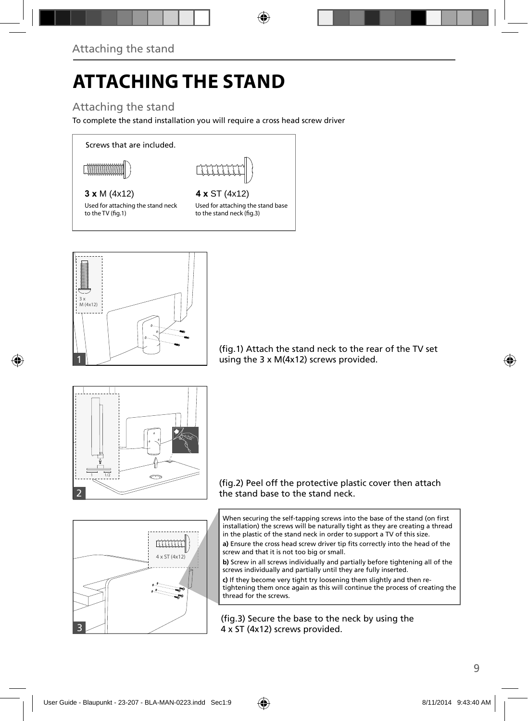# **ATTACHING THE STAND**

### Attaching the stand

To complete the stand installation you will require a cross head screw driver

Screws that are included.



### **3 x** M (4x12) **4 x** ST (4x12)

Used for attaching the stand neck to the TV (fig.1)

Used for attaching the stand base to the stand neck (fig.3)



(fig.1) Attach the stand neck to the rear of the TV set using the 3 x M(4x12) screws provided.





When securing the self-tapping screws into the base of the stand (on first installation) the screws will be naturally tight as they are creating a thread in the plastic of the stand neck in order to support a TV of this size.

a) Ensure the cross head screw driver tip fits correctly into the head of the screw and that it is not too big or small.

**b)** Screw in all screws individually and partially before tightening all of the screws individually and partially until they are fully inserted.

**c)** If they become very tight try loosening them slightly and then retightening them once again as this will continue the process of creating the thread for the screws.

(fig.3) Secure the base to the neck by using the 4 x ST (4x12) screws provided.

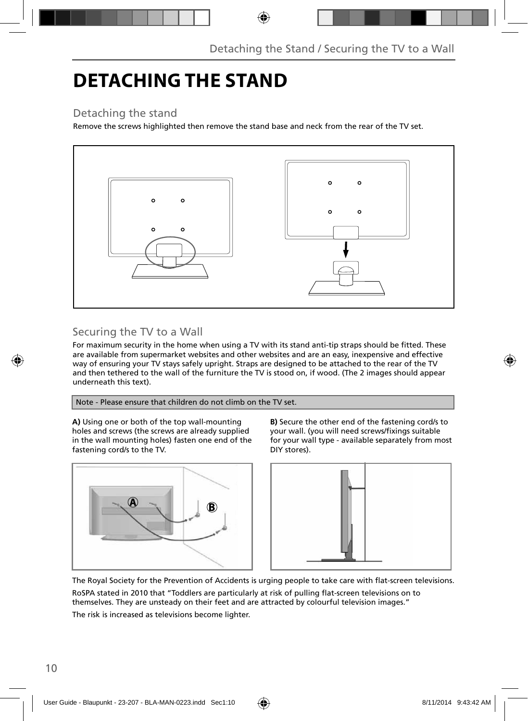## **DETACHING THE STAND**

### Detaching the stand

Remove the screws highlighted then remove the stand base and neck from the rear of the TV set.



### Securing the TV to a Wall

For maximum security in the home when using a TV with its stand anti-tip straps should be fitted. These are available from supermarket websites and other websites and are an easy, inexpensive and effective way of ensuring your TV stays safely upright. Straps are designed to be attached to the rear of the TV and then tethered to the wall of the furniture the TV is stood on, if wood. (The 2 images should appear underneath this text).

Note - Please ensure that children do not climb on the TV set.

**A)** Using one or both of the top wall-mounting holes and screws (the screws are already supplied in the wall mounting holes) fasten one end of the fastening cord/s to the TV.



**B)** Secure the other end of the fastening cord/s to your wall. (you will need screws/fixings suitable for your wall type - available separately from most DIY stores).



The Royal Society for the Prevention of Accidents is urging people to take care with flat-screen televisions.

RoSPA stated in 2010 that "Toddlers are particularly at risk of pulling flat-screen televisions on to themselves. They are unsteady on their feet and are attracted by colourful television images."

The risk is increased as televisions become lighter.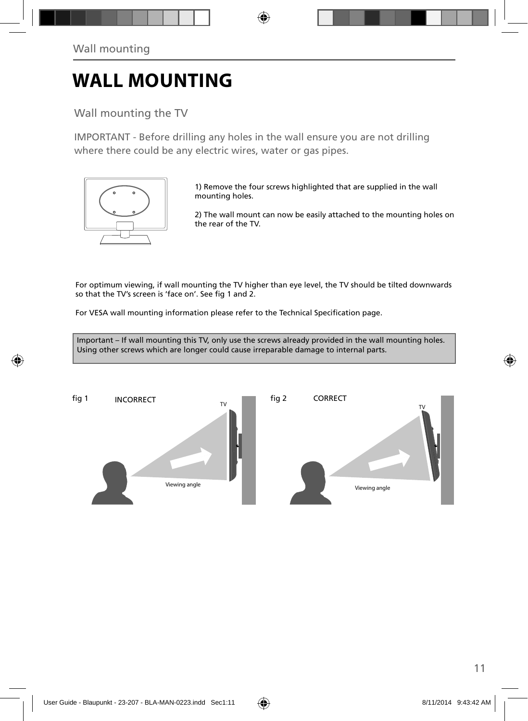## **WALL MOUNTING**

Wall mounting the TV

IMPORTANT - Before drilling any holes in the wall ensure you are not drilling where there could be any electric wires, water or gas pipes.



1) Remove the four screws highlighted that are supplied in the wall mounting holes.

2) The wall mount can now be easily attached to the mounting holes on the rear of the TV.

For optimum viewing, if wall mounting the TV higher than eye level, the TV should be tilted downwards so that the TV's screen is 'face on'. See fig 1 and 2.

For VESA wall mounting information please refer to the Technical Specification page.

Important – If wall mounting this TV, only use the screws already provided in the wall mounting holes. Using other screws which are longer could cause irreparable damage to internal parts.

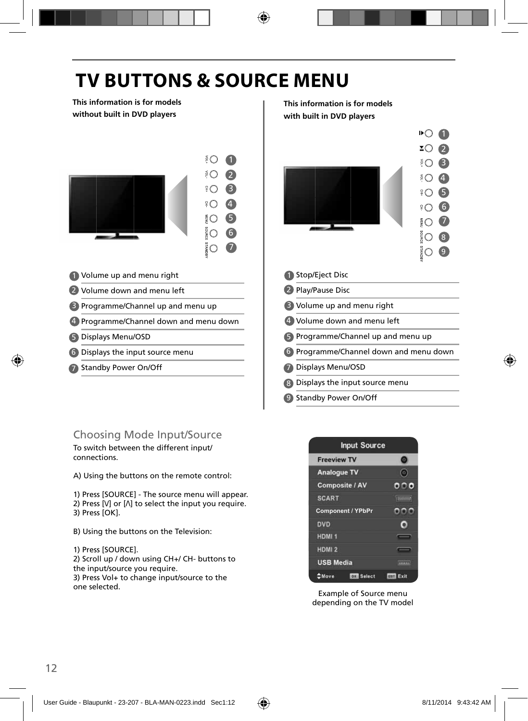## **TV BUTTONS & SOURCE MENU**

**This information is for models without built in DVD players**



- 1 Volume up and menu right **1** 1
- 2 Volume down and menu left  $\sim$  2
- 3 Programme/Channel up and menu up **B**
- 4 Programme/Channel down and menu down  $\vert$  (4
- Displays Menu/OSD 5 5
- Displays the input source menu 6 6
- 7 Standby Power On/Off **1996 1997 1998 1998 1998**

### Choosing Mode Input/Source

To switch between the different input/ connections.

A) Using the buttons on the remote control:

1) Press [SOURCE] - The source menu will appear. 2) Press  $[V]$  or  $[\Lambda]$  to select the input you require. 3) Press [OK].

B) Using the buttons on the Television:

1) Press [SOURCE].

2) Scroll up / down using CH+/ CH- buttons to the input/source you require.

3) Press Vol+ to change input/source to the one selected.

**This information is for models with built in DVD players**



 $0$   $\Omega$  $200$  $30B$  $\circ$   $\Omega$  $306$  $306$ 7  $\Omega$  $\Omega$ වි<br>9

|                       | Stop/Eject Disc                           |
|-----------------------|-------------------------------------------|
|                       | 2 Play/Pause Disc                         |
|                       | <b>B</b> Volume up and menu right         |
|                       | 4 Volume down and menu left               |
|                       | <b>S</b> Programme/Channel up and menu up |
|                       | 6 Programme/Channel down and menu down    |
| $\boldsymbol{\sigma}$ | Displays Menu/OSD                         |
|                       | 8 Displays the input source menu          |
|                       | <b>9</b> Standby Power On/Off             |



Example of Source menu depending on the TV model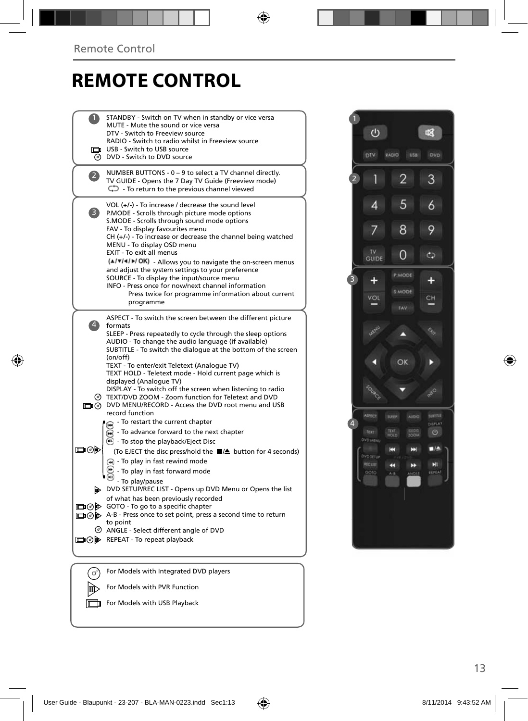## **REMOTE CONTROL**

|                   | STANDBY - Switch on TV when in standby or vice versa<br>MUTE - Mute the sound or vice versa<br>DTV - Switch to Freeview source<br>RADIO - Switch to radio whilst in Freeview source<br>USB - Switch to USB source<br>C DVD - Switch to DVD source                                                                                                                                                                                                                                                                                                                                                             |  |
|-------------------|---------------------------------------------------------------------------------------------------------------------------------------------------------------------------------------------------------------------------------------------------------------------------------------------------------------------------------------------------------------------------------------------------------------------------------------------------------------------------------------------------------------------------------------------------------------------------------------------------------------|--|
| $\mathbf{2}$      | NUMBER BUTTONS - 0 - 9 to select a TV channel directly.<br>TV GUIDE - Opens the 7 Day TV Guide (Freeview mode)<br>$\mathbb{C}$ - To return to the previous channel viewed                                                                                                                                                                                                                                                                                                                                                                                                                                     |  |
| $\vert 3 \rangle$ | VOL $(+/-)$ - To increase / decrease the sound level<br>P.MODE - Scrolls through picture mode options<br>S.MODE - Scrolls through sound mode options<br>FAV - To display favourites menu<br>$CH (+/-)$ - To increase or decrease the channel being watched<br>MENU - To display OSD menu<br>EXIT - To exit all menus<br>(A/V/4/D/OK) - Allows you to navigate the on-screen menus<br>and adjust the system settings to your preference<br>SOURCE - To display the input/source menu<br>INFO - Press once for now/next channel information<br>Press twice for programme information about current<br>programme |  |
| $\ket{4}$         | ASPECT - To switch the screen between the different picture<br>formats<br>SLEEP - Press repeatedly to cycle through the sleep options<br>AUDIO - To change the audio language (if available)<br>SUBTITLE - To switch the dialogue at the bottom of the screen<br>(on/off)<br>TEXT - To enter/exit Teletext (Analogue TV)<br>TEXT HOLD - Teletext mode - Hold current page which is<br>displayed (Analogue TV)<br>DISPLAY - To switch off the screen when listening to radio                                                                                                                                   |  |
| య⊚⊡               | TEXT/DVD ZOOM - Zoom function for Teletext and DVD<br>DIG DVD MENU/RECORD - Access the DVD root menu and USB<br>record function<br>- To restart the current chapter<br>ুন<br>To advance forward to the next chapter<br>$\odot$ - To stop the playback/Eject Disc<br>(To EJECT the disc press/hold the ■▲ button for 4 seconds)<br>(4) - To play in fast rewind mode<br>- To play in fast forward mode                                                                                                                                                                                                         |  |
|                   | - To play/pause<br>DVD SETUP/REC LIST - Opens up DVD Menu or Opens the list<br>of what has been previously recorded<br>□ ⊙ > GOTO - To go to a specific chapter<br>□ ⊙ D A-B - Press once to set point, press a second time to return<br>to point<br>⊙ ANGLE - Select different angle of DVD<br>□ ⊙ D REPEAT - To repeat playback                                                                                                                                                                                                                                                                             |  |
|                   |                                                                                                                                                                                                                                                                                                                                                                                                                                                                                                                                                                                                               |  |
|                   | For Models with Integrated DVD players                                                                                                                                                                                                                                                                                                                                                                                                                                                                                                                                                                        |  |
|                   | For Models with PVR Function                                                                                                                                                                                                                                                                                                                                                                                                                                                                                                                                                                                  |  |

For Models with USB Playback

 $\circ$ 國 RADIO USB  $\overline{2}$ 3 1 2 5  $\overline{4}$  $\ddot{\delta}$  $\overline{7}$ 8 9 TV<br>GUIDE  $\overline{O}$ Ò 3 4  $\ddot{}$ SMODE **AREA**  $\theta_p$ Δ OK D г  $\mathcal{A}^{\circ}$ tures. 4 1000  $\circ$ **DVD MENI**  $\blacksquare$ **H** m  $M$ 44 Ħ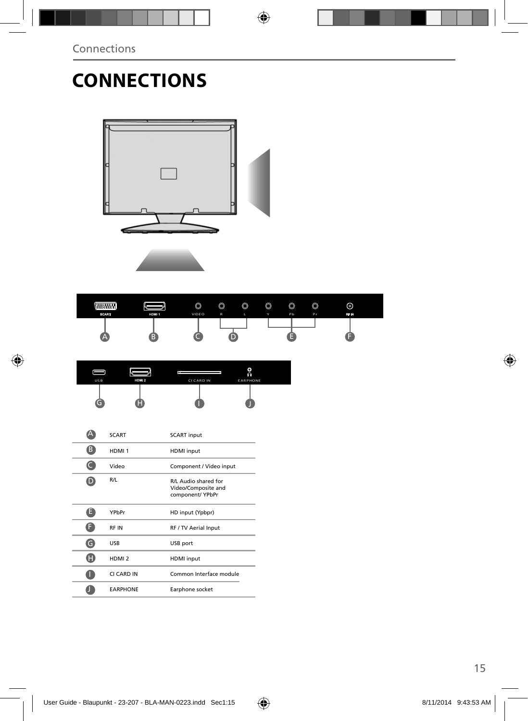# **CONNECTIONS**



| <b><i><u>RHHHHH</u>II</i></b><br><b>SCART</b> | HDM 1 | $\circledcirc$<br>VIDEO | $\circledcirc$<br>$\mathsf{R}$ | $\circledcirc$<br>L | $\circledcirc$<br>Y. | $\circledcirc$<br>Pb | $\circledcirc$<br>Pr. | ⊚<br>RF IN |  |
|-----------------------------------------------|-------|-------------------------|--------------------------------|---------------------|----------------------|----------------------|-----------------------|------------|--|
| 45                                            |       |                         |                                |                     |                      |                      |                       |            |  |

|     |       |                   | o.              |
|-----|-------|-------------------|-----------------|
| USB | HDM 2 | <b>CI CARD IN</b> | <b>EARPHONE</b> |
|     |       |                   |                 |

|   | <b>SCART</b>      | <b>SCART</b> input                                              |
|---|-------------------|-----------------------------------------------------------------|
| B | HDMI <sub>1</sub> | <b>HDMI</b> input                                               |
|   | Video             | Component / Video input                                         |
|   | R/L               | R/L Audio shared for<br>Video/Composite and<br>component/ YPbPr |
| E | YPbPr             | HD input (Ypbpr)                                                |
|   | <b>RFIN</b>       | RF / TV Aerial Input                                            |
| G | <b>USB</b>        | USB port                                                        |
| H | HDMI <sub>2</sub> | <b>HDMI</b> input                                               |
|   | CI CARD IN        | Common Interface module                                         |
|   | <b>EARPHONE</b>   | Earphone socket                                                 |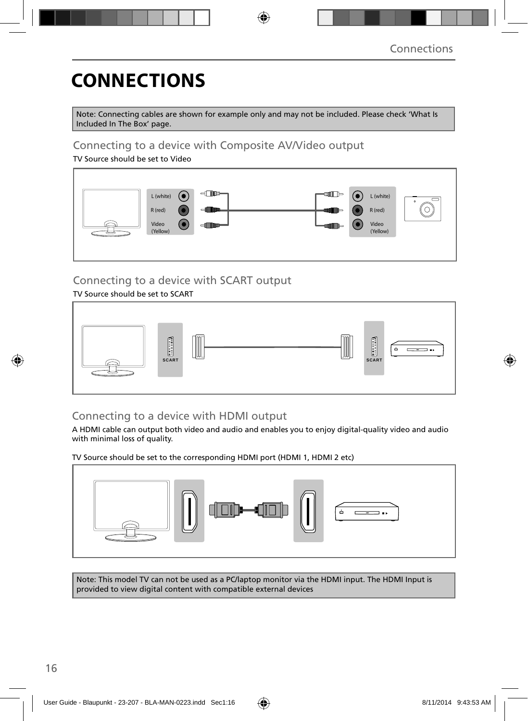## **CONNECTIONS**

Note: Connecting cables are shown for example only and may not be included. Please check 'What Is Included In The Box' page.

### Connecting to a device with Composite AV/Video output

TV Source should be set to Video



### Connecting to a device with SCART output

### TV Source should be set to SCART



### Connecting to a device with HDMI output

A HDMI cable can output both video and audio and enables you to enjoy digital-quality video and audio with minimal loss of quality.

TV Source should be set to the corresponding HDMI port (HDMI 1, HDMI 2 etc)



Note: This model TV can not be used as a PC/laptop monitor via the HDMI input. The HDMI Input is provided to view digital content with compatible external devices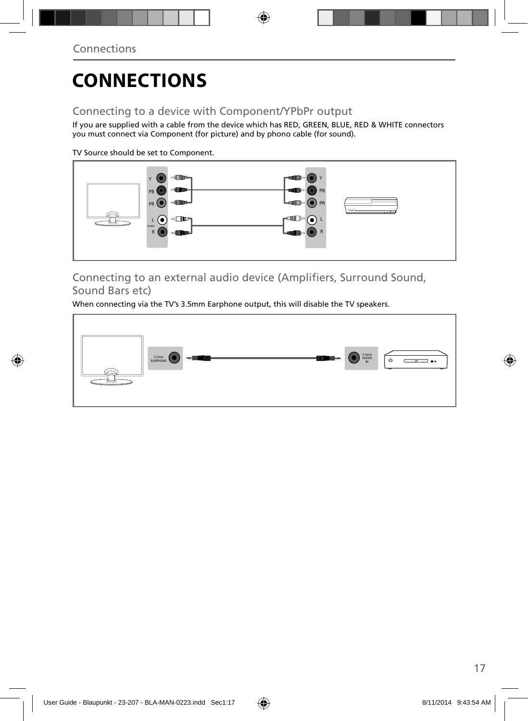# **CONNECTIONS**

### Connecting to a device with Component/YPbPr output

If you are supplied with a cable from the device which has RED, GREEN, BLUE, RED & WHITE connectors you must connect via Component (for picture) and by phono cable (for sound).

TV Source should be set to Component.



Connecting to an external audio device (Amplifiers, Surround Sound, Sound Bars etc)

When connecting via the TV's 3.5mm Earphone output, this will disable the TV speakers.

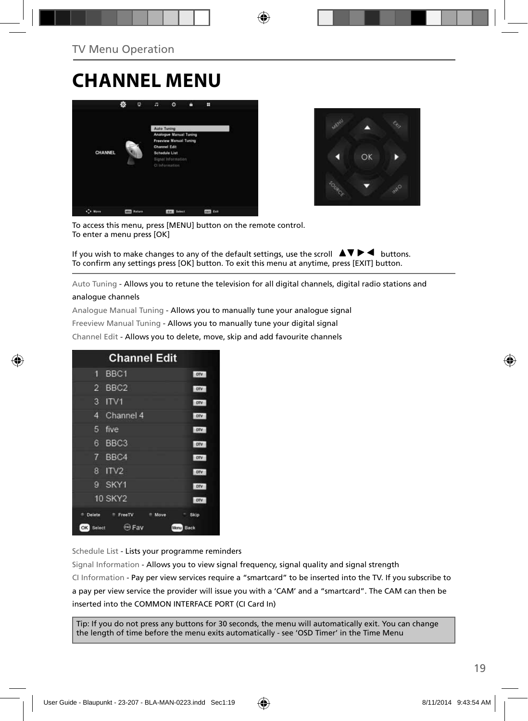## **CHANNEL MENU**





To access this menu, press [MENU] button on the remote control. To enter a menu press [OK]

If you wish to make changes to any of the default settings, use the scroll  $\Box \blacktriangledown \blacktriangleright \blacktriangleleft$  buttons. To confirm any settings press [OK] button. To exit this menu at anytime, press [EXIT] button.

Auto Tuning - Allows you to retune the television for all digital channels, digital radio stations and

#### analogue channels

Analogue Manual Tuning - Allows you to manually tune your analogue signal

Freeview Manual Tuning - Allows you to manually tune your digital signal

Channel Edit - Allows you to delete, move, skip and add favourite channels

| <b>Channel Edit</b>                   |            |  |  |  |  |  |
|---------------------------------------|------------|--|--|--|--|--|
| BBC <sub>1</sub><br>9                 | onv        |  |  |  |  |  |
| BBC <sub>2</sub><br>2                 | otv        |  |  |  |  |  |
| 3<br>ITV1                             | otv        |  |  |  |  |  |
| Channel 4<br>4                        | otv        |  |  |  |  |  |
| five<br>5                             | otv        |  |  |  |  |  |
| BBC <sub>3</sub><br>6                 | <b>DTV</b> |  |  |  |  |  |
| 7 BBC4                                | onv        |  |  |  |  |  |
| IV2<br>R                              | onv        |  |  |  |  |  |
| SKY1<br>g                             | onv        |  |  |  |  |  |
| <b>10 SKY2</b>                        | otv        |  |  |  |  |  |
| Delete<br><sup>#</sup> FreeTV<br>Move | Skip       |  |  |  |  |  |
| <b>O</b> Fav<br>OK Select             | Manu Back  |  |  |  |  |  |

Schedule List - Lists your programme reminders

Signal Information - Allows you to view signal frequency, signal quality and signal strength CI Information - Pay per view services require a "smartcard" to be inserted into the TV. If you subscribe to a pay per view service the provider will issue you with a 'CAM' and a "smartcard". The CAM can then be inserted into the COMMON INTERFACE PORT (CI Card In)

Tip: If you do not press any buttons for 30 seconds, the menu will automatically exit. You can change the length of time before the menu exits automatically - see 'OSD Timer' in the Time Menu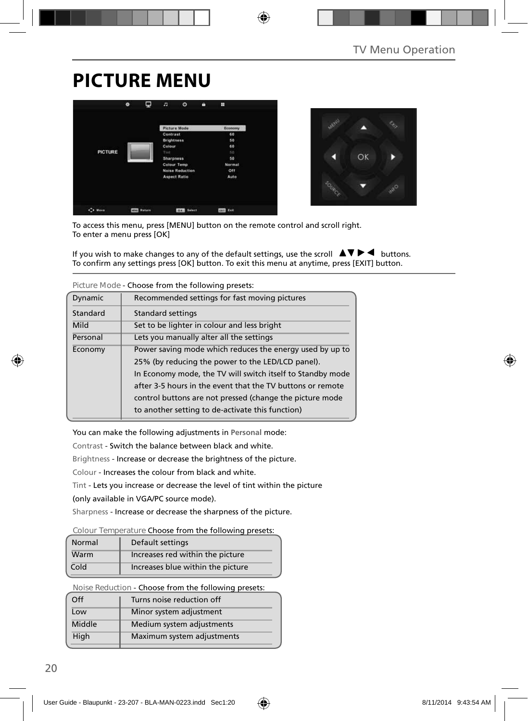## **PICTURE MENU**





To access this menu, press [MENU] button on the remote control and scroll right. To enter a menu press [OK]

If you wish to make changes to any of the default settings, use the scroll  $\Box \blacktriangleright \blacktriangleleft$  buttons. To confirm any settings press [OK] button. To exit this menu at anytime, press [EXIT] button.

| Figure Mode - Choose from the following presets. |                                                            |  |  |  |
|--------------------------------------------------|------------------------------------------------------------|--|--|--|
| Dynamic                                          | Recommended settings for fast moving pictures              |  |  |  |
| Standard                                         | <b>Standard settings</b>                                   |  |  |  |
| Mild                                             | Set to be lighter in colour and less bright                |  |  |  |
| Personal                                         | Lets you manually alter all the settings                   |  |  |  |
| Economy                                          | Power saving mode which reduces the energy used by up to   |  |  |  |
|                                                  | 25% (by reducing the power to the LED/LCD panel).          |  |  |  |
|                                                  | In Economy mode, the TV will switch itself to Standby mode |  |  |  |
|                                                  | after 3-5 hours in the event that the TV buttons or remote |  |  |  |
|                                                  | control buttons are not pressed (change the picture mode   |  |  |  |
|                                                  | to another setting to de-activate this function)           |  |  |  |

**Picture Mode** - Choose from the following presets:

You can make the following adjustments in **Personal** mode:

Contrast - Switch the balance between black and white.

Brightness - Increase or decrease the brightness of the picture.

Colour - Increases the colour from black and white.

Tint - Lets you increase or decrease the level of tint within the picture

(only available in VGA/PC source mode).

Sharpness - Increase or decrease the sharpness of the picture.

#### **Colour Temperature** Choose from the following presets:

| Normal | Default settings                  |
|--------|-----------------------------------|
| Warm   | Increases red within the picture  |
| Cold   | Increases blue within the picture |

**Noise Reduction** - Choose from the following presets:

| $\Omega$ | Turns noise reduction off  |
|----------|----------------------------|
| Low      | Minor system adjustment    |
| Middle   | Medium system adjustments  |
| High     | Maximum system adjustments |
|          |                            |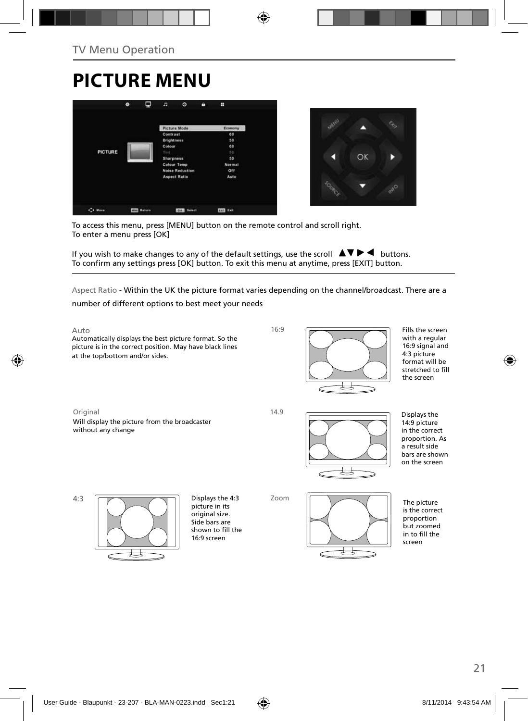## **PICTURE MENU**





To access this menu, press [MENU] button on the remote control and scroll right. To enter a menu press [OK]

If you wish to make changes to any of the default settings, use the scroll  $\Box \Box \blacktriangleright \blacktriangleleft$  buttons. To confirm any settings press [OK] button. To exit this menu at anytime, press [EXIT] button.

Aspect Ratio - Within the UK the picture format varies depending on the channel/broadcast. There are a

number of different options to best meet your needs

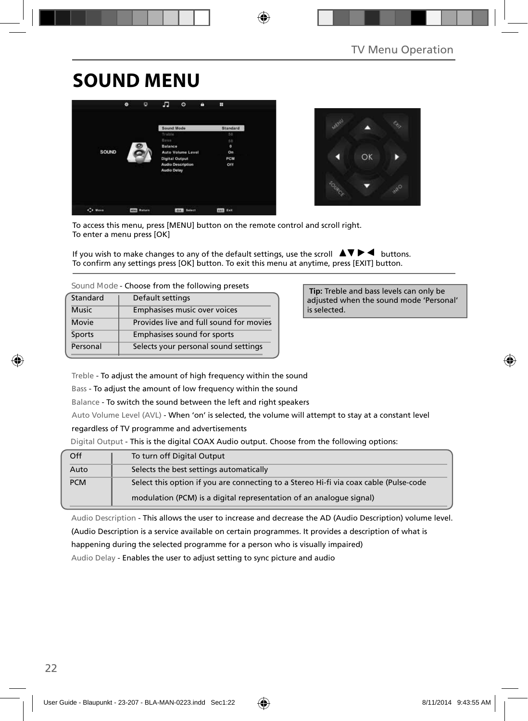## **SOUND MENU**





To access this menu, press [MENU] button on the remote control and scroll right. To enter a menu press [OK]

If you wish to make changes to any of the default settings, use the scroll  $\Box \blacktriangleright \blacktriangleleft$  buttons. To confirm any settings press [OK] button. To exit this menu at anytime, press [EXIT] button.

| Sound Mode - Choose from the following presets |  |
|------------------------------------------------|--|
|------------------------------------------------|--|

| Standard     | Default settings                        |  |
|--------------|-----------------------------------------|--|
| <b>Music</b> | Emphasises music over voices            |  |
| Movie        | Provides live and full sound for movies |  |
| Sports       | Emphasises sound for sports             |  |
| Personal     | Selects your personal sound settings    |  |

 **Tip:** Treble and bass levels can only be adjusted when the sound mode 'Personal' is selected.

Treble - To adjust the amount of high frequency within the sound

Bass - To adjust the amount of low frequency within the sound

Balance - To switch the sound between the left and right speakers

Auto Volume Level (AVL) - When 'on' is selected, the volume will attempt to stay at a constant level

#### regardless of TV programme and advertisements

Digital Output - This is the digital COAX Audio output. Choose from the following options:

| Off        | To turn off Digital Output                                                            |  |
|------------|---------------------------------------------------------------------------------------|--|
| Auto       | Selects the best settings automatically                                               |  |
| <b>PCM</b> | Select this option if you are connecting to a Stereo Hi-fi via coax cable (Pulse-code |  |
|            | modulation (PCM) is a digital representation of an analogue signal)                   |  |

Audio Description - This allows the user to increase and decrease the AD (Audio Description) volume level. (Audio Description is a service available on certain programmes. It provides a description of what is

happening during the selected programme for a person who is visually impaired)

Audio Delay - Enables the user to adjust setting to sync picture and audio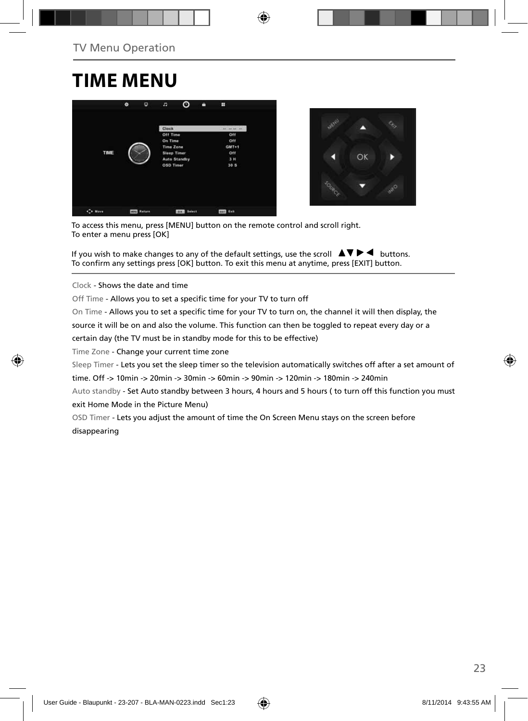## **TIME MENU**





To access this menu, press [MENU] button on the remote control and scroll right. To enter a menu press [OK]

If you wish to make changes to any of the default settings, use the scroll  $\blacktriangle \blacktriangledown \blacktriangleright \blacktriangleleft$  buttons. To confirm any settings press [OK] button. To exit this menu at anytime, press [EXIT] button.

Clock - Shows the date and time

Off Time - Allows you to set a specific time for your TV to turn off

On Time - Allows you to set a specific time for your TV to turn on, the channel it will then display, the

source it will be on and also the volume. This function can then be toggled to repeat every day or a

certain day (the TV must be in standby mode for this to be effective)

Time Zone - Change your current time zone

Sleep Timer - Lets you set the sleep timer so the television automatically switches off after a set amount of

time. Off -> 10min -> 20min -> 30min -> 60min -> 90min -> 120min -> 180min -> 240min

Auto standby - Set Auto standby between 3 hours, 4 hours and 5 hours (to turn off this function you must exit Home Mode in the Picture Menu)

OSD Timer - Lets you adjust the amount of time the On Screen Menu stays on the screen before disappearing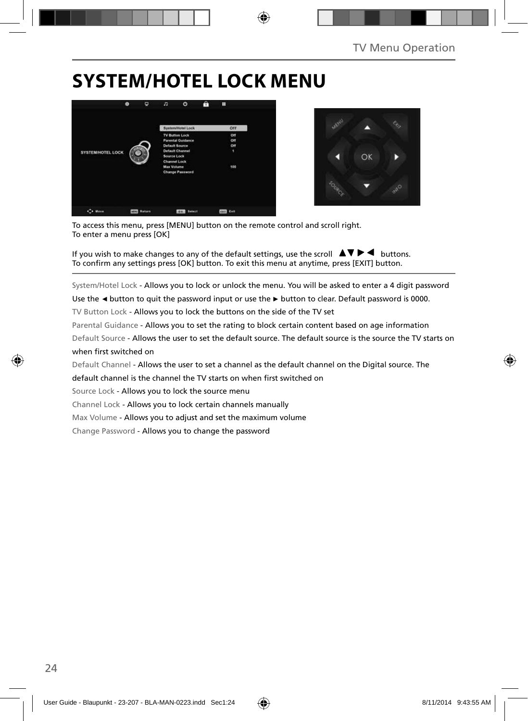## **SYSTEM/HOTEL LOCK MENU**





To access this menu, press [MENU] button on the remote control and scroll right. To enter a menu press [OK]

If you wish to make changes to any of the default settings, use the scroll  $\Box \blacktriangledown \blacktriangleright \blacktriangleleft$  buttons. To confirm any settings press [OK] button. To exit this menu at anytime, press [EXIT] button.

System/Hotel Lock - Allows you to lock or unlock the menu. You will be asked to enter a 4 digit password

Use the **◄** button to quit the password input or use the **►** button to clear. Default password is 0000.

TV Button Lock - Allows you to lock the buttons on the side of the TV set

Parental Guidance - Allows you to set the rating to block certain content based on age information

Default Source - Allows the user to set the default source. The default source is the source the TV starts on when first switched on

Default Channel - Allows the user to set a channel as the default channel on the Digital source. The

default channel is the channel the TV starts on when first switched on

Source Lock - Allows you to lock the source menu

Channel Lock - Allows you to lock certain channels manually

Max Volume - Allows you to adjust and set the maximum volume

Change Password - Allows you to change the password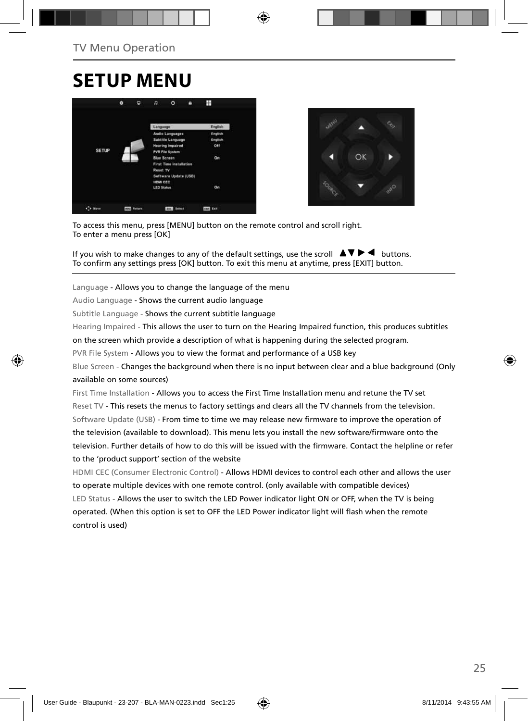## **SETUP MENU**





To access this menu, press [MENU] button on the remote control and scroll right. To enter a menu press [OK]

If you wish to make changes to any of the default settings, use the scroll  $\Delta \nabla \blacktriangleright$   $\blacktriangleleft$  buttons. To confirm any settings press [OK] button. To exit this menu at anytime, press [EXIT] button.

Language - Allows you to change the language of the menu

Audio Language - Shows the current audio language

Subtitle Language - Shows the current subtitle language

Hearing Impaired - This allows the user to turn on the Hearing Impaired function, this produces subtitles

on the screen which provide a description of what is happening during the selected program.

PVR File System - Allows you to view the format and performance of a USB key

Blue Screen - Changes the background when there is no input between clear and a blue background (Only available on some sources)

First Time Installation - Allows you to access the First Time Installation menu and retune the TV set Reset TV - This resets the menus to factory settings and clears all the TV channels from the television. Software Update (USB) - From time to time we may release new firmware to improve the operation of the television (available to download). This menu lets you install the new software/firmware onto the television. Further details of how to do this will be issued with the firmware. Contact the helpline or refer to the 'product support' section of the website

HDMI CEC (Consumer Electronic Control) - Allows HDMI devices to control each other and allows the user to operate multiple devices with one remote control. (only available with compatible devices) LED Status - Allows the user to switch the LED Power indicator light ON or OFF, when the TV is being operated. (When this option is set to OFF the LED Power indicator light will flash when the remote control is used)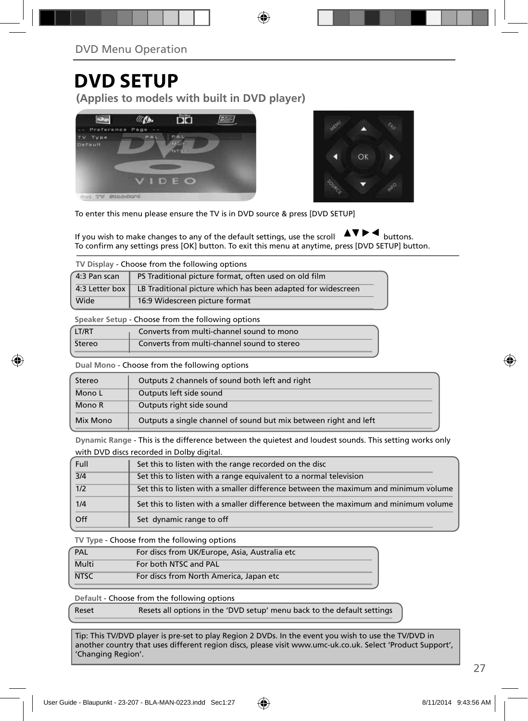### **DVD SETUP**

**(Applies to models with built in DVD player)**





To enter this menu please ensure the TV is in DVD source & press [DVD SETUP]

If you wish to make changes to any of the default settings, use the scroll  $\Box \Box \Box$  buttons. To confirm any settings press [OK] button. To exit this menu at anytime, press [DVD SETUP] button.

**TV Display** - Choose from the following options

| (4:3 Pan scan) | PS Traditional picture format, often used on old film                         |  |
|----------------|-------------------------------------------------------------------------------|--|
|                | 4:3 Letter box   LB Traditional picture which has been adapted for widescreen |  |
| Wide           | 16:9 Widescreen picture format                                                |  |

**Speaker Setup** - Choose from the following options

| LT/RT  | Converts from multi-channel sound to mono   |
|--------|---------------------------------------------|
| Stereo | Converts from multi-channel sound to stereo |

**Dual Mono** - Choose from the following options

| Stereo   | Outputs 2 channels of sound both left and right                  |  |  |
|----------|------------------------------------------------------------------|--|--|
| Mono L   | Outputs left side sound                                          |  |  |
| Mono R   | Outputs right side sound                                         |  |  |
| Mix Mono | Outputs a single channel of sound but mix between right and left |  |  |

**Dynamic Range** - This is the difference between the quietest and loudest sounds. This setting works only with DVD discs recorded in Dolby digital.

| Full | Set this to listen with the range recorded on the disc                              |
|------|-------------------------------------------------------------------------------------|
| 3/4  | Set this to listen with a range equivalent to a normal television                   |
| 1/2  | Set this to listen with a smaller difference between the maximum and minimum volume |
| 1/4  | Set this to listen with a smaller difference between the maximum and minimum volume |
| Off  | Set dynamic range to off                                                            |

**TV Type** - Choose from the following options

| PAL         | For discs from UK/Europe, Asia, Australia etc |
|-------------|-----------------------------------------------|
| Multi       | For both NTSC and PAL                         |
| <b>NTSC</b> | For discs from North America, Japan etc       |
|             |                                               |

**Default** - Choose from the following options

Reset Resets all options in the 'DVD setup' menu back to the default settings

Tip: This TV/DVD player is pre-set to play Region 2 DVDs. In the event you wish to use the TV/DVD in another country that uses different region discs, please visit www.umc-uk.co.uk. Select 'Product Support', 'Changing Region'.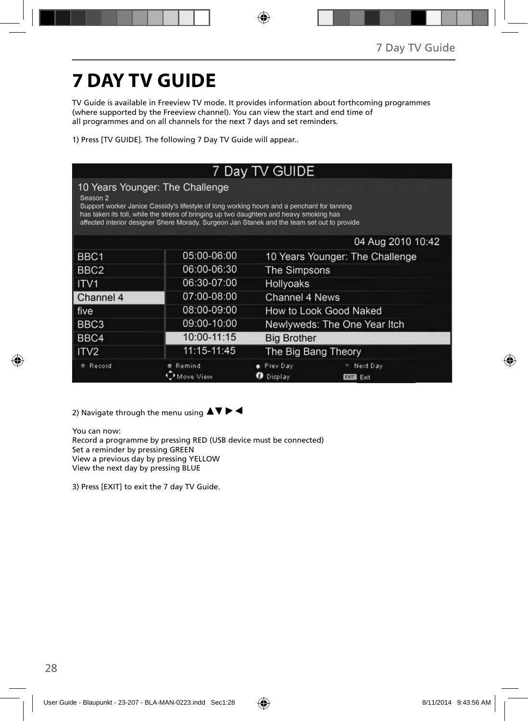# **7 DAY TV GUIDE**

TV Guide is available in Freeview TV mode. It provides information about forthcoming programmes (where supported by the Freeview channel). You can view the start and end time of all programmes and on all channels for the next 7 days and set reminders.

1) Press [TV GUIDE]. The following 7 Day TV Guide will appear..

| 7 Day TV GUIDE                                                                                                                                                                                                                                                                                                                                 |                    |                                 |                                 |
|------------------------------------------------------------------------------------------------------------------------------------------------------------------------------------------------------------------------------------------------------------------------------------------------------------------------------------------------|--------------------|---------------------------------|---------------------------------|
| 10 Years Younger: The Challenge<br>Season <sub>2</sub><br>Support worker Janice Cassidy's lifestyle of long working hours and a penchant for tanning<br>has taken its toll, while the stress of bringing up two daughters and heavy smoking has<br>affected interior designer Shere Morady. Surgeon Jan Stanek and the team set out to provide |                    |                                 |                                 |
|                                                                                                                                                                                                                                                                                                                                                |                    |                                 | 04 Aug 2010 10:42               |
| BBC1                                                                                                                                                                                                                                                                                                                                           | 05:00-06:00        | 10 Years Younger: The Challenge |                                 |
| BBC <sub>2</sub>                                                                                                                                                                                                                                                                                                                               | 06:00-06:30        | The Simpsons                    |                                 |
| ITV <sub>1</sub>                                                                                                                                                                                                                                                                                                                               | 06:30-07:00        | <b>Hollyoaks</b>                |                                 |
| Channel 4                                                                                                                                                                                                                                                                                                                                      | 07:00-08:00        | Channel 4 News                  |                                 |
| five                                                                                                                                                                                                                                                                                                                                           | 08:00-09:00        | How to Look Good Naked          |                                 |
| BBC <sub>3</sub>                                                                                                                                                                                                                                                                                                                               | 09:00-10:00        |                                 | Newlyweds: The One Year Itch    |
| BBC4                                                                                                                                                                                                                                                                                                                                           | 10:00-11:15        | <b>Big Brother</b>              |                                 |
| ITV <sub>2</sub>                                                                                                                                                                                                                                                                                                                               | 11:15-11:45        | The Big Bang Theory             |                                 |
| Record                                                                                                                                                                                                                                                                                                                                         | Remind<br>ove View | Prev Day<br><b>D</b> Display    | Next Day<br>Exit<br><b>EXIT</b> |

2) Navigate through the menu using  $\blacktriangle \blacktriangledown \blacktriangleright \blacktriangleleft$ 

You can now: Record a programme by pressing RED (USB device must be connected) Set a reminder by pressing GREEN View a previous day by pressing YELLOW View the next day by pressing BLUE

3) Press [EXIT] to exit the 7 day TV Guide.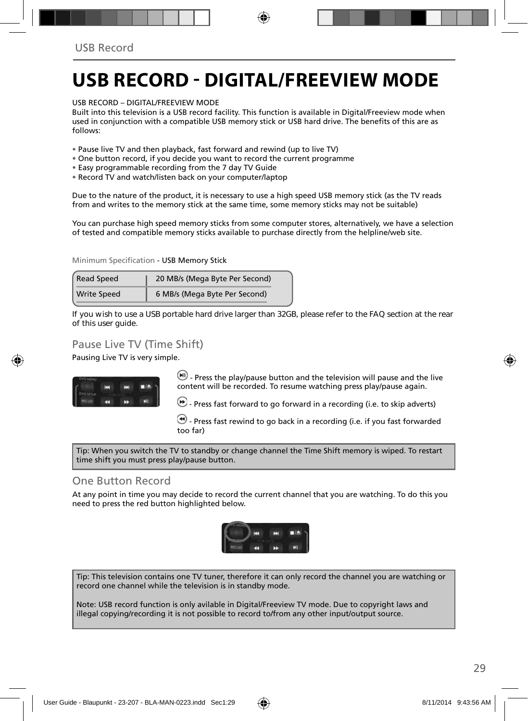## **USB RECORD - DIGITAL/FREEVIEW MODE**

USB RECORD – DIGITAL/FREEVIEW MODE

Built into this television is a USB record facility. This function is available in Digital/Freeview mode when used in conjunction with a compatible USB memory stick or USB hard drive. The benefits of this are as follows:

- Pause live TV and then playback, fast forward and rewind (up to live TV)
- One button record, if you decide you want to record the current programme
- Easy programmable recording from the 7 day TV Guide
- Record TV and watch/listen back on your computer/laptop

Due to the nature of the product, it is necessary to use a high speed USB memory stick (as the TV reads from and writes to the memory stick at the same time, some memory sticks may not be suitable)

You can purchase high speed memory sticks from some computer stores, alternatively, we have a selection of tested and compatible memory sticks available to purchase directly from the helpline/web site.

Minimum Specification - USB Memory Stick

| <b>Read Speed</b>  | 20 MB/s (Mega Byte Per Second) |  |
|--------------------|--------------------------------|--|
| <b>Write Speed</b> | 6 MB/s (Mega Byte Per Second)  |  |

**If you wish to use a USB portable hard drive larger than 32GB, please refer to the FAQ section at the rear of this user guide.**

### Pause Live TV (Time Shift)

Pausing Live TV is very simple.



 $(W)$  - Press the play/pause button and the television will pause and the live content will be recorded. To resume watching press play/pause again.

- Press fast forward to go forward in a recording (i.e. to skip adverts)

 - Press fast rewind to go back in a recording (i.e. if you fast forwarded too far)

Tip: When you switch the TV to standby or change channel the Time Shift memory is wiped. To restart time shift you must press play/pause button.

### One Button Record

At any point in time you may decide to record the current channel that you are watching. To do this you need to press the red button highlighted below.



Tip: This television contains one TV tuner, therefore it can only record the channel you are watching or record one channel while the television is in standby mode.

Note: USB record function is only avilable in Digital/Freeview TV mode. Due to copyright laws and illegal copying/recording it is not possible to record to/from any other input/output source.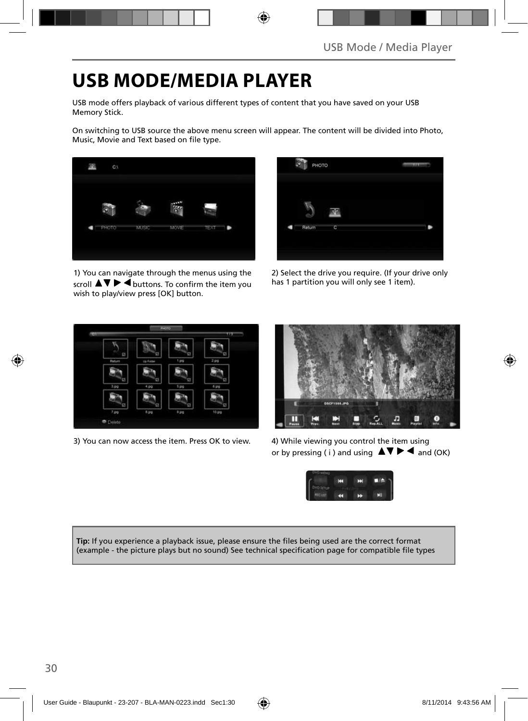## **USB MODE/MEDIA PLAYER**

USB mode offers playback of various different types of content that you have saved on your USB Memory Stick.

On switching to USB source the above menu screen will appear. The content will be divided into Photo, Music, Movie and Text based on file type.



1) You can navigate through the menus using the scroll  $\blacktriangle \blacktriangledown \blacktriangleright \blacktriangleleft$  buttons. To confirm the item you wish to play/view press [OK] button.



2) Select the drive you require. (If your drive only has 1 partition you will only see 1 item).



3) You can now access the item. Press OK to view. 4) While viewing you control the item using



or by pressing (i) and using  $\Delta \nabla \blacktriangleright$   $\blacktriangle$  and (OK)



**Tip:** If you experience a playback issue, please ensure the files being used are the correct format (example - the picture plays but no sound) See technical specification page for compatible file types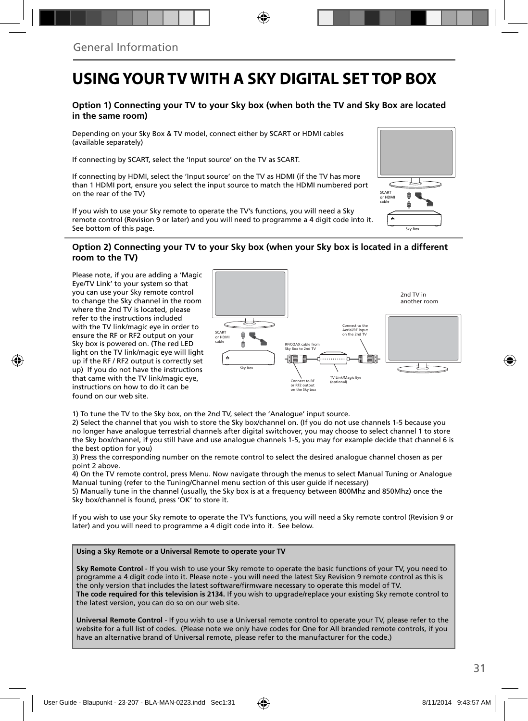### **USING YOUR TV WITH A SKY DIGITAL SET TOP BOX**

#### **Option 1) Connecting your TV to your Sky box (when both the TV and Sky Box are located in the same room)**

Depending on your Sky Box & TV model, connect either by SCART or HDMI cables (available separately)

If connecting by SCART, select the 'Input source' on the TV as SCART.

If connecting by HDMI, select the 'Input source' on the TV as HDMI (if the TV has more than 1 HDMI port, ensure you select the input source to match the HDMI numbered port on the rear of the TV)

If you wish to use your Sky remote to operate the TV's functions, you will need a Sky remote control (Revision 9 or later) and you will need to programme a 4 digit code into it. See bottom of this page.

# Sky Box SCART or HDMI cable

#### **Option 2) Connecting your TV to your Sky box (when your Sky box is located in a different room to the TV)**

Please note, if you are adding a 'Magic Eye/TV Link' to your system so that you can use your Sky remote control to change the Sky channel in the room where the 2nd TV is located, please refer to the instructions included with the TV link/magic eye in order to ensure the RF or RF2 output on your Sky box is powered on. (The red LED light on the TV link/magic eye will light up if the RF / RF2 output is correctly set up) If you do not have the instructions that came with the TV link/magic eye, instructions on how to do it can be found on our web site.



1) To tune the TV to the Sky box, on the 2nd TV, select the 'Analogue' input source.

2) Select the channel that you wish to store the Sky box/channel on. (If you do not use channels 1-5 because you no longer have analogue terrestrial channels after digital switchover, you may choose to select channel 1 to store the Sky box/channel, if you still have and use analogue channels 1-5, you may for example decide that channel 6 is the best option for you)

3) Press the corresponding number on the remote control to select the desired analogue channel chosen as per point 2 above.

4) On the TV remote control, press Menu. Now navigate through the menus to select Manual Tuning or Analogue Manual tuning (refer to the Tuning/Channel menu section of this user guide if necessary)

5) Manually tune in the channel (usually, the Sky box is at a frequency between 800Mhz and 850Mhz) once the Sky box/channel is found, press 'OK' to store it.

If you wish to use your Sky remote to operate the TV's functions, you will need a Sky remote control (Revision 9 or later) and you will need to programme a 4 digit code into it. See below.

#### **Using a Sky Remote or a Universal Remote to operate your TV**

**Sky Remote Control** - If you wish to use your Sky remote to operate the basic functions of your TV, you need to programme a 4 digit code into it. Please note - you will need the latest Sky Revision 9 remote control as this is the only version that includes the latest software/firmware necessary to operate this model of TV. **The code required for this television is 2134.** If you wish to upgrade/replace your existing Sky remote control to the latest version, you can do so on our web site.

**Universal Remote Control** - If you wish to use a Universal remote control to operate your TV, please refer to the website for a full list of codes. (Please note we only have codes for One for All branded remote controls, if you have an alternative brand of Universal remote, please refer to the manufacturer for the code.)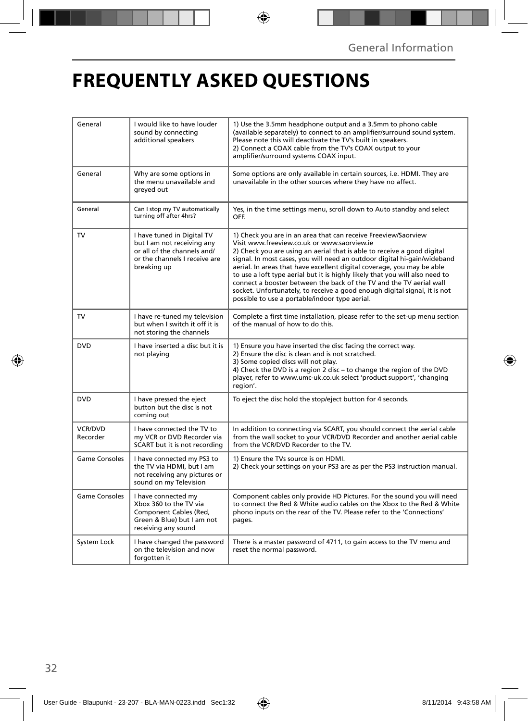# **FREQUENTLY ASKED QUESTIONS**

| General              | I would like to have louder<br>sound by connecting<br>additional speakers                                                               | 1) Use the 3.5mm headphone output and a 3.5mm to phono cable<br>(available separately) to connect to an amplifier/surround sound system.<br>Please note this will deactivate the TV's built in speakers.<br>2) Connect a COAX cable from the TV's COAX output to your<br>amplifier/surround systems COAX input.                                                                                                                                                                                                                                                                                                                      |  |
|----------------------|-----------------------------------------------------------------------------------------------------------------------------------------|--------------------------------------------------------------------------------------------------------------------------------------------------------------------------------------------------------------------------------------------------------------------------------------------------------------------------------------------------------------------------------------------------------------------------------------------------------------------------------------------------------------------------------------------------------------------------------------------------------------------------------------|--|
| General              | Why are some options in<br>the menu unavailable and<br>greyed out                                                                       | Some options are only available in certain sources, i.e. HDMI. They are<br>unavailable in the other sources where they have no affect.                                                                                                                                                                                                                                                                                                                                                                                                                                                                                               |  |
| General              | Can I stop my TV automatically<br>turning off after 4hrs?                                                                               | Yes, in the time settings menu, scroll down to Auto standby and select<br>OFF.                                                                                                                                                                                                                                                                                                                                                                                                                                                                                                                                                       |  |
| TV                   | I have tuned in Digital TV<br>but I am not receiving any<br>or all of the channels and/<br>or the channels I receive are<br>breaking up | 1) Check you are in an area that can receive Freeview/Saorview<br>Visit www.freeview.co.uk or www.saorview.ie<br>2) Check you are using an aerial that is able to receive a good digital<br>signal. In most cases, you will need an outdoor digital hi-gain/wideband<br>aerial. In areas that have excellent digital coverage, you may be able<br>to use a loft type aerial but it is highly likely that you will also need to<br>connect a booster between the back of the TV and the TV aerial wall<br>socket. Unfortunately, to receive a good enough digital signal, it is not<br>possible to use a portable/indoor type aerial. |  |
| TV                   | I have re-tuned my television<br>but when I switch it off it is<br>not storing the channels                                             | Complete a first time installation, please refer to the set-up menu section<br>of the manual of how to do this.                                                                                                                                                                                                                                                                                                                                                                                                                                                                                                                      |  |
| <b>DVD</b>           | I have inserted a disc but it is<br>not playing                                                                                         | 1) Ensure you have inserted the disc facing the correct way.<br>2) Ensure the disc is clean and is not scratched.<br>3) Some copied discs will not play.<br>4) Check the DVD is a region 2 disc - to change the region of the DVD<br>player, refer to www.umc-uk.co.uk select 'product support', 'changing<br>region'.                                                                                                                                                                                                                                                                                                               |  |
| <b>DVD</b>           | I have pressed the eject<br>button but the disc is not<br>coming out                                                                    | To eject the disc hold the stop/eject button for 4 seconds.                                                                                                                                                                                                                                                                                                                                                                                                                                                                                                                                                                          |  |
| VCR/DVD<br>Recorder  | I have connected the TV to<br>my VCR or DVD Recorder via<br>SCART but it is not recording                                               | In addition to connecting via SCART, you should connect the aerial cable<br>from the wall socket to your VCR/DVD Recorder and another aerial cable<br>from the VCR/DVD Recorder to the TV.                                                                                                                                                                                                                                                                                                                                                                                                                                           |  |
| <b>Game Consoles</b> | I have connected my PS3 to<br>the TV via HDMI, but I am<br>not receiving any pictures or<br>sound on my Television                      | 1) Ensure the TVs source is on HDMI.<br>2) Check your settings on your PS3 are as per the PS3 instruction manual.                                                                                                                                                                                                                                                                                                                                                                                                                                                                                                                    |  |
| Game Consoles        | I have connected my<br>Xbox 360 to the TV via<br>Component Cables (Red,<br>Green & Blue) but I am not<br>receiving any sound            | Component cables only provide HD Pictures. For the sound you will need<br>to connect the Red & White audio cables on the Xbox to the Red & White<br>phono inputs on the rear of the TV. Please refer to the 'Connections'<br>pages.                                                                                                                                                                                                                                                                                                                                                                                                  |  |
| System Lock          | I have changed the password<br>on the television and now<br>forgotten it                                                                | There is a master password of 4711, to gain access to the TV menu and<br>reset the normal password.                                                                                                                                                                                                                                                                                                                                                                                                                                                                                                                                  |  |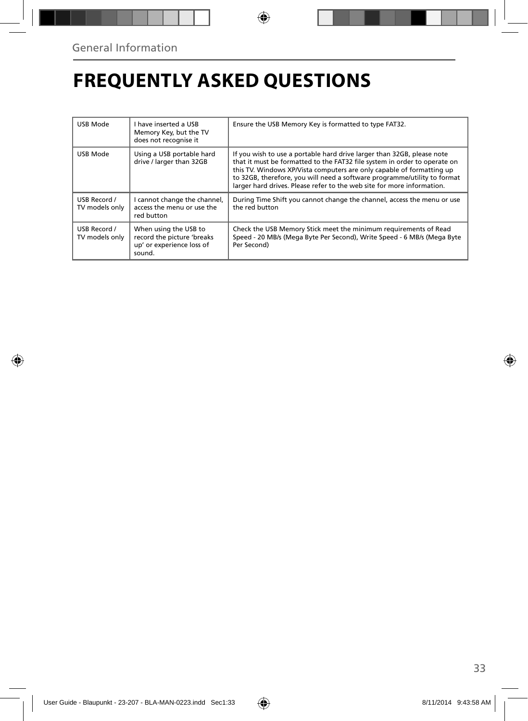## **FREQUENTLY ASKED QUESTIONS**

| USB Mode                       | I have inserted a USB<br>Memory Key, but the TV<br>does not recognise it                   | Ensure the USB Memory Key is formatted to type FAT32.                                                                                                                                                                                                                                                                                                                              |
|--------------------------------|--------------------------------------------------------------------------------------------|------------------------------------------------------------------------------------------------------------------------------------------------------------------------------------------------------------------------------------------------------------------------------------------------------------------------------------------------------------------------------------|
| USB Mode                       | Using a USB portable hard<br>drive / larger than 32GB                                      | If you wish to use a portable hard drive larger than 32GB, please note<br>that it must be formatted to the FAT32 file system in order to operate on<br>this TV. Windows XP/Vista computers are only capable of formatting up<br>to 32GB, therefore, you will need a software programme/utility to format<br>larger hard drives. Please refer to the web site for more information. |
| USB Record /<br>TV models only | I cannot change the channel,<br>access the menu or use the<br>red button                   | During Time Shift you cannot change the channel, access the menu or use<br>the red button                                                                                                                                                                                                                                                                                          |
| USB Record /<br>TV models only | When using the USB to<br>record the picture 'breaks<br>up' or experience loss of<br>sound. | Check the USB Memory Stick meet the minimum requirements of Read<br>Speed - 20 MB/s (Mega Byte Per Second), Write Speed - 6 MB/s (Mega Byte<br>Per Second)                                                                                                                                                                                                                         |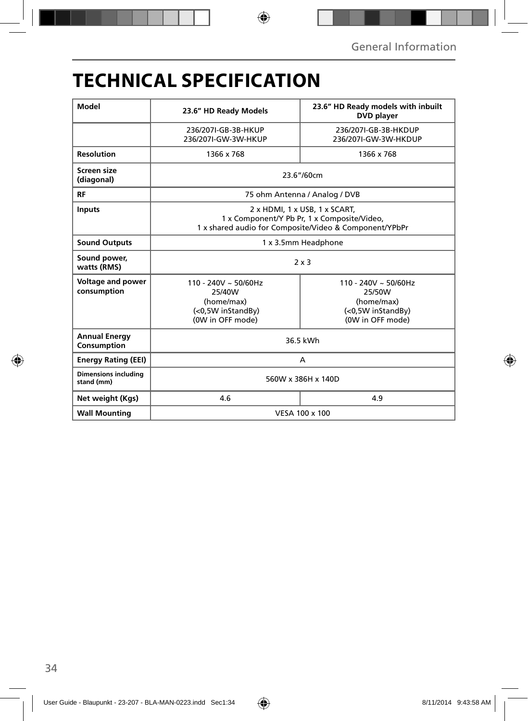## **TECHNICAL SPECIFICATION**

| Model                                     | 23.6" HD Ready Models                                                                                                                  | 23.6" HD Ready models with inbuilt<br><b>DVD</b> player                               |  |
|-------------------------------------------|----------------------------------------------------------------------------------------------------------------------------------------|---------------------------------------------------------------------------------------|--|
|                                           | 236/207I-GB-3B-HKUP<br>236/207I-GW-3W-HKUP                                                                                             | 236/207I-GB-3B-HKDUP<br>236/207I-GW-3W-HKDUP                                          |  |
| <b>Resolution</b>                         | 1366 x 768                                                                                                                             | 1366 x 768                                                                            |  |
| Screen size<br>(diagonal)                 | 23.6"/60cm                                                                                                                             |                                                                                       |  |
| <b>RF</b>                                 | 75 ohm Antenna / Analog / DVB                                                                                                          |                                                                                       |  |
| <b>Inputs</b>                             | 2 x HDMI, 1 x USB, 1 x SCART,<br>1 x Component/Y Pb Pr, 1 x Composite/Video,<br>1 x shared audio for Composite/Video & Component/YPbPr |                                                                                       |  |
| <b>Sound Outputs</b>                      | 1 x 3.5mm Headphone                                                                                                                    |                                                                                       |  |
| Sound power,<br>watts (RMS)               | $2 \times 3$                                                                                                                           |                                                                                       |  |
| Voltage and power<br>consumption          | $110 - 240V \sim 50/60Hz$<br>25/40W<br>(home/max)<br>(<0,5W inStandBy)<br>(0W in OFF mode)                                             | 110 - 240V ~ 50/60Hz<br>25/50W<br>(home/max)<br>(<0,5W inStandBy)<br>(0W in OFF mode) |  |
| <b>Annual Energy</b><br>Consumption       | 36.5 kWh                                                                                                                               |                                                                                       |  |
| <b>Energy Rating (EEI)</b>                | A                                                                                                                                      |                                                                                       |  |
| <b>Dimensions including</b><br>stand (mm) | 560W x 386H x 140D                                                                                                                     |                                                                                       |  |
| Net weight (Kgs)                          | 4.6                                                                                                                                    | 4.9                                                                                   |  |
| <b>Wall Mounting</b>                      | VESA 100 x 100                                                                                                                         |                                                                                       |  |